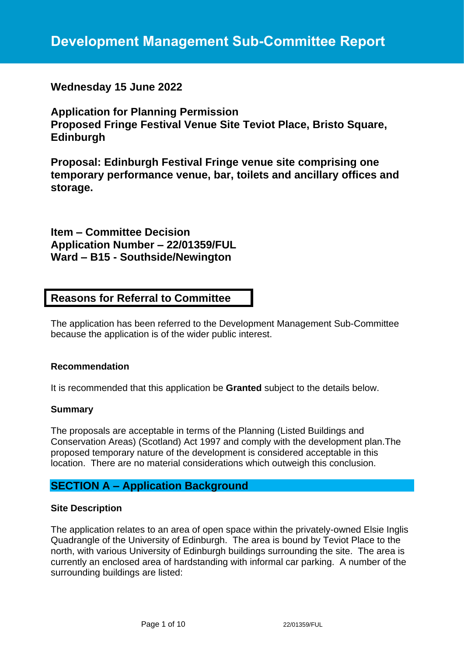# **Development Management Sub-Committee Report**

# **Wednesday 15 June 2022**

**Application for Planning Permission Proposed Fringe Festival Venue Site Teviot Place, Bristo Square, Edinburgh**

**Proposal: Edinburgh Festival Fringe venue site comprising one temporary performance venue, bar, toilets and ancillary offices and storage.**

**Item – Committee Decision Application Number – 22/01359/FUL Ward – B15 - Southside/Newington**

# **Reasons for Referral to Committee**

The application has been referred to the Development Management Sub-Committee because the application is of the wider public interest.

#### **Recommendation**

It is recommended that this application be **Granted** subject to the details below.

#### **Summary**

The proposals are acceptable in terms of the Planning (Listed Buildings and Conservation Areas) (Scotland) Act 1997 and comply with the development plan.The proposed temporary nature of the development is considered acceptable in this location. There are no material considerations which outweigh this conclusion.

# **SECTION A – Application Background**

#### **Site Description**

The application relates to an area of open space within the privately-owned Elsie Inglis Quadrangle of the University of Edinburgh. The area is bound by Teviot Place to the north, with various University of Edinburgh buildings surrounding the site. The area is currently an enclosed area of hardstanding with informal car parking. A number of the surrounding buildings are listed: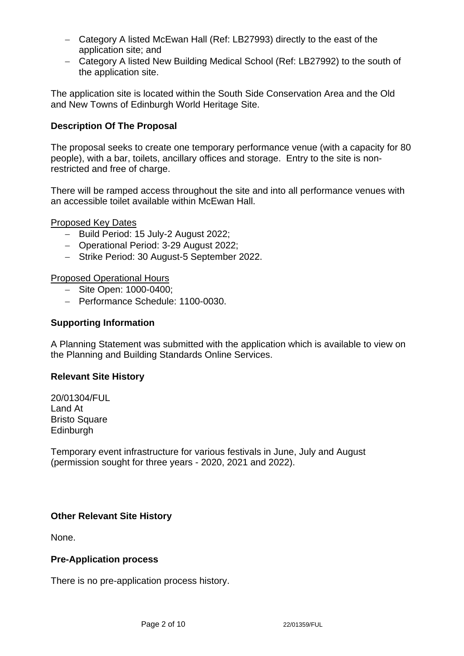- − Category A listed McEwan Hall (Ref: LB27993) directly to the east of the application site; and
- − Category A listed New Building Medical School (Ref: LB27992) to the south of the application site.

The application site is located within the South Side Conservation Area and the Old and New Towns of Edinburgh World Heritage Site.

## **Description Of The Proposal**

The proposal seeks to create one temporary performance venue (with a capacity for 80 people), with a bar, toilets, ancillary offices and storage. Entry to the site is nonrestricted and free of charge.

There will be ramped access throughout the site and into all performance venues with an accessible toilet available within McEwan Hall.

Proposed Key Dates

- − Build Period: 15 July-2 August 2022;
- − Operational Period: 3-29 August 2022;
- − Strike Period: 30 August-5 September 2022.

Proposed Operational Hours

- − Site Open: 1000-0400;
- − Performance Schedule: 1100-0030.

#### **Supporting Information**

A Planning Statement was submitted with the application which is available to view on the Planning and Building Standards Online Services.

## **Relevant Site History**

20/01304/FUL Land At Bristo Square **Edinburgh** 

Temporary event infrastructure for various festivals in June, July and August (permission sought for three years - 2020, 2021 and 2022).

## **Other Relevant Site History**

None.

#### **Pre-Application process**

There is no pre-application process history.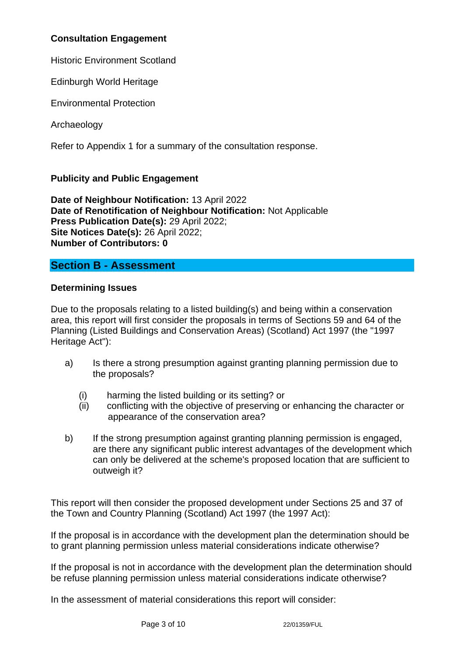# **Consultation Engagement**

Historic Environment Scotland

Edinburgh World Heritage

Environmental Protection

Archaeology

Refer to Appendix 1 for a summary of the consultation response.

# **Publicity and Public Engagement**

**Date of Neighbour Notification:** 13 April 2022 **Date of Renotification of Neighbour Notification:** Not Applicable **Press Publication Date(s):** 29 April 2022; **Site Notices Date(s):** 26 April 2022; **Number of Contributors: 0**

# **Section B - Assessment**

## **Determining Issues**

Due to the proposals relating to a listed building(s) and being within a conservation area, this report will first consider the proposals in terms of Sections 59 and 64 of the Planning (Listed Buildings and Conservation Areas) (Scotland) Act 1997 (the "1997 Heritage Act"):

- a) Is there a strong presumption against granting planning permission due to the proposals?
	- (i) harming the listed building or its setting? or
	- (ii) conflicting with the objective of preserving or enhancing the character or appearance of the conservation area?
- b) If the strong presumption against granting planning permission is engaged, are there any significant public interest advantages of the development which can only be delivered at the scheme's proposed location that are sufficient to outweigh it?

This report will then consider the proposed development under Sections 25 and 37 of the Town and Country Planning (Scotland) Act 1997 (the 1997 Act):

If the proposal is in accordance with the development plan the determination should be to grant planning permission unless material considerations indicate otherwise?

If the proposal is not in accordance with the development plan the determination should be refuse planning permission unless material considerations indicate otherwise?

In the assessment of material considerations this report will consider: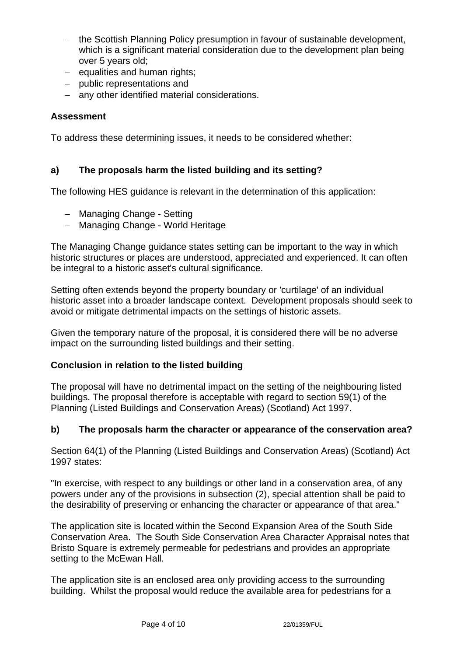- − the Scottish Planning Policy presumption in favour of sustainable development, which is a significant material consideration due to the development plan being over 5 years old;
- − equalities and human rights;
- − public representations and
- − any other identified material considerations.

# **Assessment**

To address these determining issues, it needs to be considered whether:

# **a) The proposals harm the listed building and its setting?**

The following HES guidance is relevant in the determination of this application:

- − Managing Change Setting
- − Managing Change World Heritage

The Managing Change guidance states setting can be important to the way in which historic structures or places are understood, appreciated and experienced. It can often be integral to a historic asset's cultural significance.

Setting often extends beyond the property boundary or 'curtilage' of an individual historic asset into a broader landscape context. Development proposals should seek to avoid or mitigate detrimental impacts on the settings of historic assets.

Given the temporary nature of the proposal, it is considered there will be no adverse impact on the surrounding listed buildings and their setting.

# **Conclusion in relation to the listed building**

The proposal will have no detrimental impact on the setting of the neighbouring listed buildings. The proposal therefore is acceptable with regard to section 59(1) of the Planning (Listed Buildings and Conservation Areas) (Scotland) Act 1997.

# **b) The proposals harm the character or appearance of the conservation area?**

Section 64(1) of the Planning (Listed Buildings and Conservation Areas) (Scotland) Act 1997 states:

"In exercise, with respect to any buildings or other land in a conservation area, of any powers under any of the provisions in subsection (2), special attention shall be paid to the desirability of preserving or enhancing the character or appearance of that area."

The application site is located within the Second Expansion Area of the South Side Conservation Area. The South Side Conservation Area Character Appraisal notes that Bristo Square is extremely permeable for pedestrians and provides an appropriate setting to the McEwan Hall.

The application site is an enclosed area only providing access to the surrounding building. Whilst the proposal would reduce the available area for pedestrians for a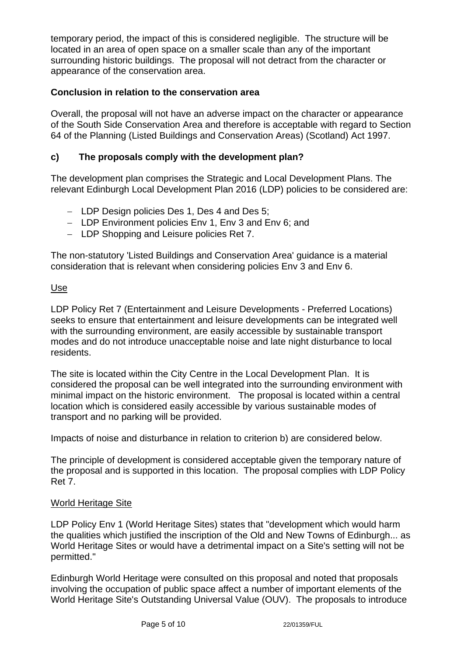temporary period, the impact of this is considered negligible. The structure will be located in an area of open space on a smaller scale than any of the important surrounding historic buildings. The proposal will not detract from the character or appearance of the conservation area.

# **Conclusion in relation to the conservation area**

Overall, the proposal will not have an adverse impact on the character or appearance of the South Side Conservation Area and therefore is acceptable with regard to Section 64 of the Planning (Listed Buildings and Conservation Areas) (Scotland) Act 1997.

# **c) The proposals comply with the development plan?**

The development plan comprises the Strategic and Local Development Plans. The relevant Edinburgh Local Development Plan 2016 (LDP) policies to be considered are:

- − LDP Design policies Des 1, Des 4 and Des 5;
- − LDP Environment policies Env 1, Env 3 and Env 6; and
- − LDP Shopping and Leisure policies Ret 7.

The non-statutory 'Listed Buildings and Conservation Area' guidance is a material consideration that is relevant when considering policies Env 3 and Env 6.

#### Use

LDP Policy Ret 7 (Entertainment and Leisure Developments - Preferred Locations) seeks to ensure that entertainment and leisure developments can be integrated well with the surrounding environment, are easily accessible by sustainable transport modes and do not introduce unacceptable noise and late night disturbance to local residents.

The site is located within the City Centre in the Local Development Plan. It is considered the proposal can be well integrated into the surrounding environment with minimal impact on the historic environment. The proposal is located within a central location which is considered easily accessible by various sustainable modes of transport and no parking will be provided.

Impacts of noise and disturbance in relation to criterion b) are considered below.

The principle of development is considered acceptable given the temporary nature of the proposal and is supported in this location. The proposal complies with LDP Policy Ret 7.

## World Heritage Site

LDP Policy Env 1 (World Heritage Sites) states that "development which would harm the qualities which justified the inscription of the Old and New Towns of Edinburgh... as World Heritage Sites or would have a detrimental impact on a Site's setting will not be permitted."

Edinburgh World Heritage were consulted on this proposal and noted that proposals involving the occupation of public space affect a number of important elements of the World Heritage Site's Outstanding Universal Value (OUV). The proposals to introduce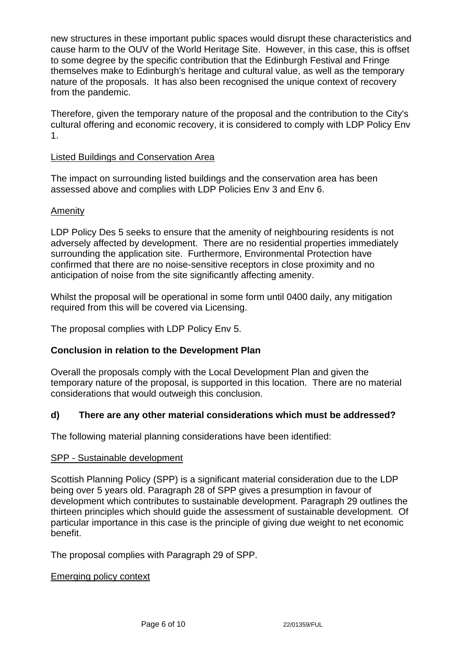new structures in these important public spaces would disrupt these characteristics and cause harm to the OUV of the World Heritage Site. However, in this case, this is offset to some degree by the specific contribution that the Edinburgh Festival and Fringe themselves make to Edinburgh's heritage and cultural value, as well as the temporary nature of the proposals. It has also been recognised the unique context of recovery from the pandemic.

Therefore, given the temporary nature of the proposal and the contribution to the City's cultural offering and economic recovery, it is considered to comply with LDP Policy Env 1.

## Listed Buildings and Conservation Area

The impact on surrounding listed buildings and the conservation area has been assessed above and complies with LDP Policies Env 3 and Env 6.

## Amenity

LDP Policy Des 5 seeks to ensure that the amenity of neighbouring residents is not adversely affected by development. There are no residential properties immediately surrounding the application site. Furthermore, Environmental Protection have confirmed that there are no noise-sensitive receptors in close proximity and no anticipation of noise from the site significantly affecting amenity.

Whilst the proposal will be operational in some form until 0400 daily, any mitigation required from this will be covered via Licensing.

The proposal complies with LDP Policy Env 5.

# **Conclusion in relation to the Development Plan**

Overall the proposals comply with the Local Development Plan and given the temporary nature of the proposal, is supported in this location. There are no material considerations that would outweigh this conclusion.

## **d) There are any other material considerations which must be addressed?**

The following material planning considerations have been identified:

#### SPP - Sustainable development

Scottish Planning Policy (SPP) is a significant material consideration due to the LDP being over 5 years old. Paragraph 28 of SPP gives a presumption in favour of development which contributes to sustainable development. Paragraph 29 outlines the thirteen principles which should guide the assessment of sustainable development. Of particular importance in this case is the principle of giving due weight to net economic benefit.

The proposal complies with Paragraph 29 of SPP.

#### Emerging policy context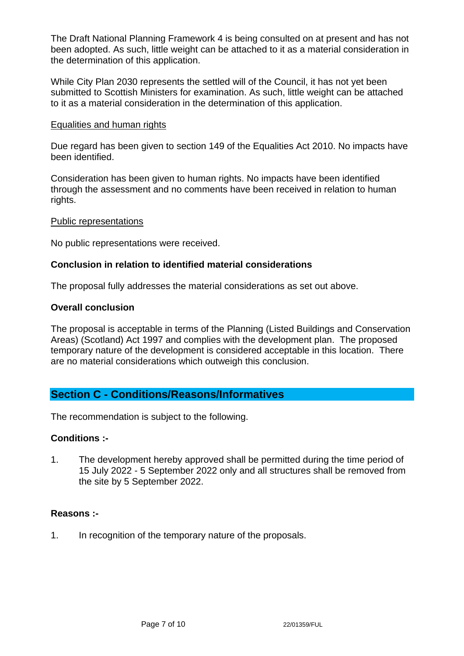The Draft National Planning Framework 4 is being consulted on at present and has not been adopted. As such, little weight can be attached to it as a material consideration in the determination of this application.

While City Plan 2030 represents the settled will of the Council, it has not yet been submitted to Scottish Ministers for examination. As such, little weight can be attached to it as a material consideration in the determination of this application.

#### Equalities and human rights

Due regard has been given to section 149 of the Equalities Act 2010. No impacts have been identified.

Consideration has been given to human rights. No impacts have been identified through the assessment and no comments have been received in relation to human rights.

#### Public representations

No public representations were received.

## **Conclusion in relation to identified material considerations**

The proposal fully addresses the material considerations as set out above.

#### **Overall conclusion**

The proposal is acceptable in terms of the Planning (Listed Buildings and Conservation Areas) (Scotland) Act 1997 and complies with the development plan. The proposed temporary nature of the development is considered acceptable in this location. There are no material considerations which outweigh this conclusion.

# **Section C - Conditions/Reasons/Informatives**

The recommendation is subject to the following.

#### **Conditions :-**

1. The development hereby approved shall be permitted during the time period of 15 July 2022 - 5 September 2022 only and all structures shall be removed from the site by 5 September 2022.

#### **Reasons :-**

1. In recognition of the temporary nature of the proposals.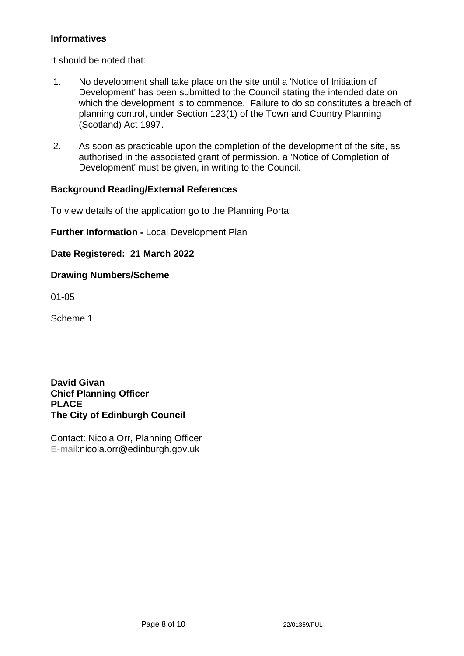# **Informatives**

It should be noted that:

- 1. No development shall take place on the site until a 'Notice of Initiation of Development' has been submitted to the Council stating the intended date on which the development is to commence. Failure to do so constitutes a breach of planning control, under Section 123(1) of the Town and Country Planning (Scotland) Act 1997.
- 2. As soon as practicable upon the completion of the development of the site, as authorised in the associated grant of permission, a 'Notice of Completion of Development' must be given, in writing to the Council.

## **Background Reading/External References**

To view details of the application go to the Planning Portal

## **Further Information -** [Local Development Plan](https://www.edinburgh.gov.uk/local-development-plan-guidance-1/edinburgh-local-development-plan/1)

**Date Registered: 21 March 2022**

## **Drawing Numbers/Scheme**

01-05

Scheme 1

**David Givan Chief Planning Officer PLACE The City of Edinburgh Council**

Contact: Nicola Orr, Planning Officer E-mail:nicola.orr@edinburgh.gov.uk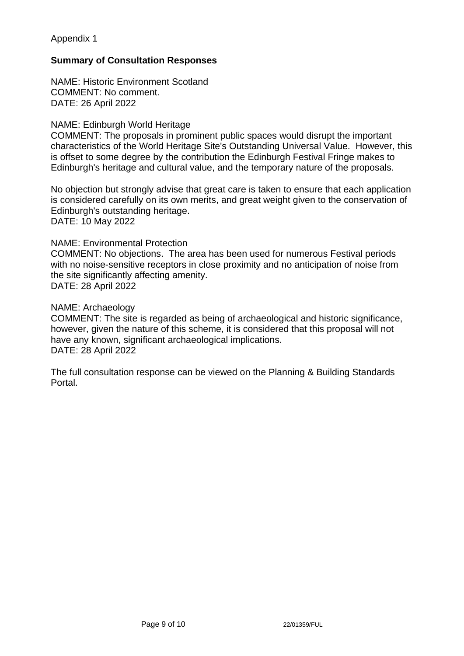## Appendix 1

## **Summary of Consultation Responses**

NAME: Historic Environment Scotland COMMENT: No comment. DATE: 26 April 2022

#### NAME: Edinburgh World Heritage

COMMENT: The proposals in prominent public spaces would disrupt the important characteristics of the World Heritage Site's Outstanding Universal Value. However, this is offset to some degree by the contribution the Edinburgh Festival Fringe makes to Edinburgh's heritage and cultural value, and the temporary nature of the proposals.

No objection but strongly advise that great care is taken to ensure that each application is considered carefully on its own merits, and great weight given to the conservation of Edinburgh's outstanding heritage.

DATE: 10 May 2022

#### NAME: Environmental Protection

COMMENT: No objections. The area has been used for numerous Festival periods with no noise-sensitive receptors in close proximity and no anticipation of noise from the site significantly affecting amenity. DATE: 28 April 2022

#### NAME: Archaeology

COMMENT: The site is regarded as being of archaeological and historic significance, however, given the nature of this scheme, it is considered that this proposal will not have any known, significant archaeological implications. DATE: 28 April 2022

The full consultation response can be viewed on the Planning & Building Standards Portal.